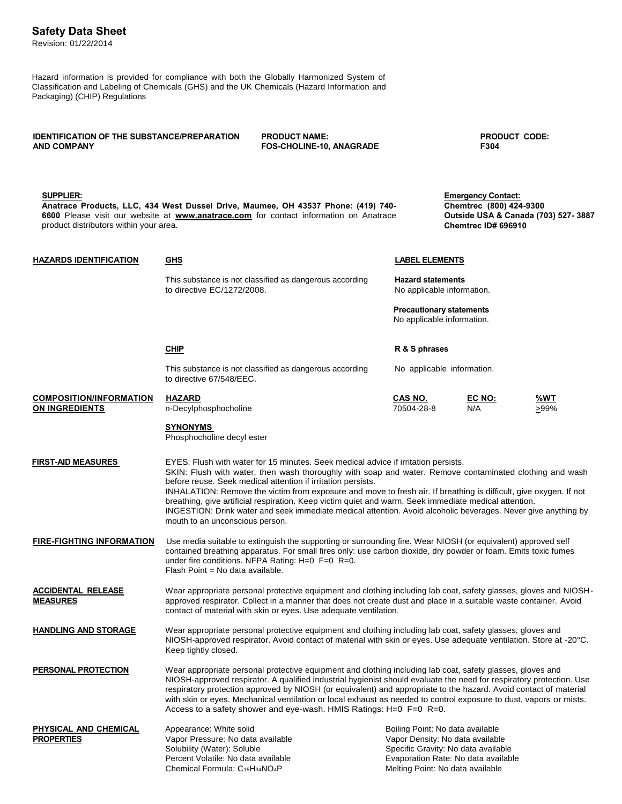## **Safety Data Sheet**

Revision: 01/22/2014

Hazard information is provided for compliance with both the Globally Harmonized System of Classification and Labeling of Chemicals (GHS) and the UK Chemicals (Hazard Information and Packaging) (CHIP) Regulations

**IDENTIFICATION OF THE SUBSTANCE/PREPARATION PRODUCT NAME: AND COMPANY FOS-CHOLINE-10, ANAGRADE SUPPLIER: Anatrace Products, LLC, 434 West Dussel Drive, Maumee, OH 43537 Phone: (419) 740- 6600** Please visit our website at **[www.anatrace.com](http://www.anatrace.com/)** for contact information on Anatrace product distributors within your area. **PRODUCT CODE: F304 Emergency Contact: Chemtrec (800) 424-9300 Outside USA & Canada (703) 527- 3887 Chemtrec ID# 696910 HAZARDS IDENTIFICATION GHS LABEL ELEMENTS** This substance is not classified as dangerous according **Hazard statements** to directive EC/1272/2008. The state of the No applicable information. **Precautionary statements** No applicable information. **CHIP R & S phrases** This substance is not classified as dangerous according No applicable information. to directive 67/548/EEC. **COMPOSITION/INFORMATION HAZARD CAS NO. EC NO: %WT** n-Decylphosphocholine 70504-28-8 N/A  $\geq$ 99% **SYNONYMS**  Phosphocholine decyl ester **FIRST-AID MEASURES** EYES: Flush with water for 15 minutes. Seek medical advice if irritation persists. SKIN: Flush with water, then wash thoroughly with soap and water. Remove contaminated clothing and wash before reuse. Seek medical attention if irritation persists. INHALATION: Remove the victim from exposure and move to fresh air. If breathing is difficult, give oxygen. If not breathing, give artificial respiration. Keep victim quiet and warm. Seek immediate medical attention. INGESTION: Drink water and seek immediate medical attention. Avoid alcoholic beverages. Never give anything by mouth to an unconscious person. **FIRE-FIGHTING INFORMATION** Use media suitable to extinguish the supporting or surrounding fire. Wear NIOSH (or equivalent) approved self contained breathing apparatus. For small fires only: use carbon dioxide, dry powder or foam. Emits toxic fumes under fire conditions. NFPA Rating: H=0 F=0 R=0. Flash Point = No data available. **ACCIDENTAL RELEASE MEASURES HANDLING AND STORAGE PERSONAL PROTECTION PHYSICAL AND CHEMICAL**  Wear appropriate personal protective equipment and clothing including lab coat, safety glasses, gloves and NIOSHapproved respirator. Collect in a manner that does not create dust and place in a suitable waste container. Avoid contact of material with skin or eyes. Use adequate ventilation. Wear appropriate personal protective equipment and clothing including lab coat, safety glasses, gloves and NIOSH-approved respirator. Avoid contact of material with skin or eyes. Use adequate ventilation. Store at -20°C. Keep tightly closed. Wear appropriate personal protective equipment and clothing including lab coat, safety glasses, gloves and NIOSH-approved respirator. A qualified industrial hygienist should evaluate the need for respiratory protection. Use respiratory protection approved by NIOSH (or equivalent) and appropriate to the hazard. Avoid contact of material with skin or eyes. Mechanical ventilation or local exhaust as needed to control exposure to dust, vapors or mists. Access to a safety shower and eye-wash. HMIS Ratings: H=0 F=0 R=0. Appearance: White solid **Boiling Point: No data available** 

**PROPERTIES**

Vapor Pressure: No data available Vapor Density: No data available Solubility (Water): Soluble Specific Gravity: No data available Percent Volatile: No data available **Example Evaporation Rate: No data available Percent** Chemical Formula: C<sub>15</sub>H<sub>34</sub>NO<sub>4</sub>P Melting Point: No data available